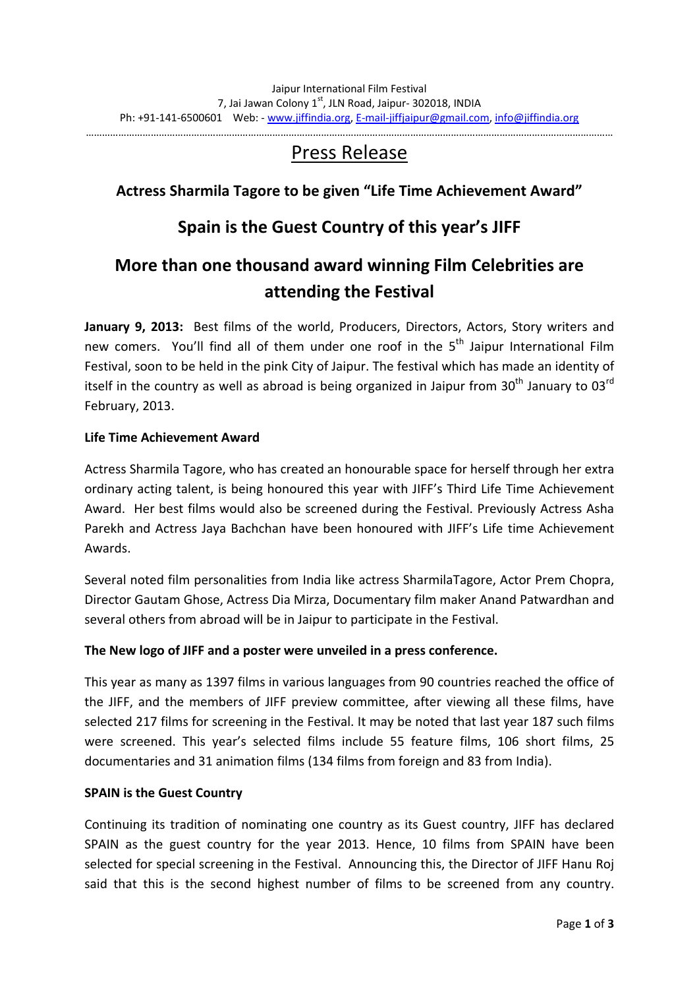……………………………………………………………………………………………………………………………………………………………………………

# Press Release

# **Actress Sharmila Tagore to be given "Life Time Achievement Award"**

# **Spain is the Guest Country of this year's JIFF**

# **More than one thousand award winning Film Celebrities are attending the Festival**

**January 9, 2013:** Best films of the world, Producers, Directors, Actors, Story writers and new comers. You'll find all of them under one roof in the 5<sup>th</sup> Jaipur International Film Festival, soon to be held in the pink City of Jaipur. The festival which has made an identity of itself in the country as well as abroad is being organized in Jaipur from  $30<sup>th</sup>$  January to  $03<sup>rd</sup>$ February, 2013.

## **Life Time Achievement Award**

Actress Sharmila Tagore, who has created an honourable space for herself through her extra ordinary acting talent, is being honoured this year with JIFF's Third Life Time Achievement Award. Her best films would also be screened during the Festival. Previously Actress Asha Parekh and Actress Jaya Bachchan have been honoured with JIFF's Life time Achievement Awards.

Several noted film personalities from India like actress SharmilaTagore, Actor Prem Chopra, Director Gautam Ghose, Actress Dia Mirza, Documentary film maker Anand Patwardhan and several others from abroad will be in Jaipur to participate in the Festival.

## **The New logo of JIFF and a poster were unveiled in a press conference.**

This year as many as 1397 films in various languages from 90 countries reached the office of the JIFF, and the members of JIFF preview committee, after viewing all these films, have selected 217 films for screening in the Festival. It may be noted that last year 187 such films were screened. This year's selected films include 55 feature films, 106 short films, 25 documentaries and 31 animation films (134 films from foreign and 83 from India).

#### **SPAIN is the Guest Country**

Continuing its tradition of nominating one country as its Guest country, JIFF has declared SPAIN as the guest country for the year 2013. Hence, 10 films from SPAIN have been selected for special screening in the Festival. Announcing this, the Director of JIFF Hanu Roj said that this is the second highest number of films to be screened from any country.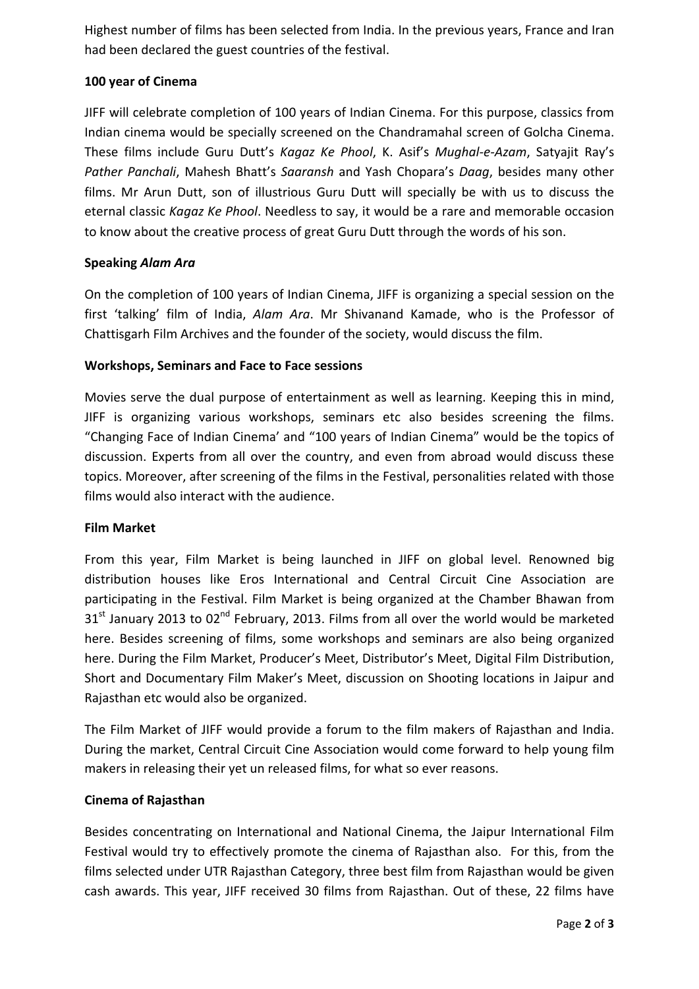Highest number of films has been selected from India. In the previous years, France and Iran had been declared the guest countries of the festival.

# **100 year of Cinema**

JIFF will celebrate completion of 100 years of Indian Cinema. For this purpose, classics from Indian cinema would be specially screened on the Chandramahal screen of Golcha Cinema. These films include Guru Dutt's *Kagaz Ke Phool*, K. Asif's *Mughal-e-Azam*, Satyajit Ray's *Pather Panchali*, Mahesh Bhatt's *Saaransh* and Yash Chopara's *Daag*, besides many other films. Mr Arun Dutt, son of illustrious Guru Dutt will specially be with us to discuss the eternal classic *Kagaz Ke Phool*. Needless to say, it would be a rare and memorable occasion to know about the creative process of great Guru Dutt through the words of his son.

## **Speaking** *Alam Ara*

On the completion of 100 years of Indian Cinema, JIFF is organizing a special session on the first 'talking' film of India, *Alam Ara*. Mr Shivanand Kamade, who is the Professor of Chattisgarh Film Archives and the founder of the society, would discuss the film.

#### **Workshops, Seminars and Face to Face sessions**

Movies serve the dual purpose of entertainment as well as learning. Keeping this in mind, JIFF is organizing various workshops, seminars etc also besides screening the films. "Changing Face of Indian Cinema' and "100 years of Indian Cinema" would be the topics of discussion. Experts from all over the country, and even from abroad would discuss these topics. Moreover, after screening of the films in the Festival, personalities related with those films would also interact with the audience.

#### **Film Market**

From this year, Film Market is being launched in JIFF on global level. Renowned big distribution houses like Eros International and Central Circuit Cine Association are participating in the Festival. Film Market is being organized at the Chamber Bhawan from  $31<sup>st</sup>$  January 2013 to 02<sup>nd</sup> February, 2013. Films from all over the world would be marketed here. Besides screening of films, some workshops and seminars are also being organized here. During the Film Market, Producer's Meet, Distributor's Meet, Digital Film Distribution, Short and Documentary Film Maker's Meet, discussion on Shooting locations in Jaipur and Rajasthan etc would also be organized.

The Film Market of JIFF would provide a forum to the film makers of Rajasthan and India. During the market, Central Circuit Cine Association would come forward to help young film makers in releasing their yet un released films, for what so ever reasons.

#### **Cinema of Rajasthan**

Besides concentrating on International and National Cinema, the Jaipur International Film Festival would try to effectively promote the cinema of Rajasthan also. For this, from the films selected under UTR Rajasthan Category, three best film from Rajasthan would be given cash awards. This year, JIFF received 30 films from Rajasthan. Out of these, 22 films have